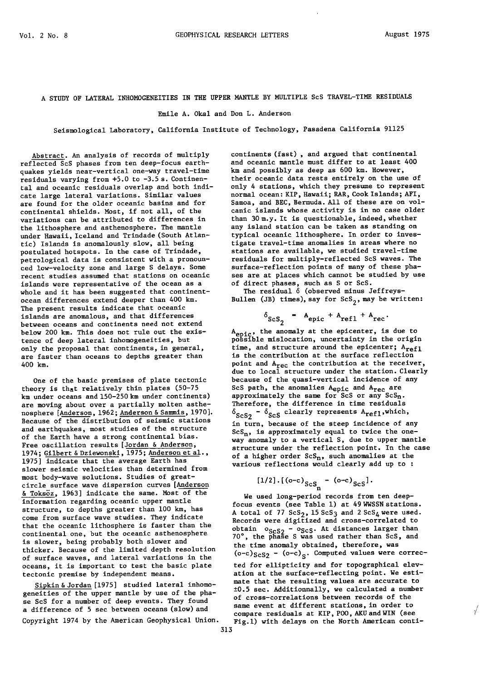## **A STUDY OF LATERAL INHOMOGENEITIES IN THE UPPER MANTLE BY MULTIPLE ScS TRAVEL-TIME RESIDUALS**

**Emile A. Okal and Don L. Anderson** 

**Seismological Laboratory, California Institute of Technology, Pasadena California 91125** 

**Abstract. An analysis of records of multiply reflected ScS phases from ten deep-focus earthquakes yields near-vertical one-way travel-time residuals varying from +5.0 to -3.5 s. Continental and oceanic residuals overlap and both indicate large lateral variations. Similar values are found for the older oceanic basins and for continental shields. Most, if not all, of the variations can be attributed to differences in the lithosphere and asthenosphere. The mantle under Hawaii, Iceland and Trindade (South Atlantic) Islands is anomalously slow, all being postulated hotspots. In the case of Trindade, petrological data is consistent with a pronounced low-velocity zone and large S delays. Some recent studies assumed that stations on oceanic islands were representative of the ocean as a whole and it has been suggested that continentocean differences extend deeper than 400 km. The present results indicate that oceanic islands are anomalous, and that differences between oceans and continents need not extend below 200 km. This does not rule out the existence of deep lateral inhomogeneities, but only the proposal that continents, in general, are faster than oceans to depths greater than 400 km.** 

**One of the basic premises of plate tectonic theory is that relatively thin plates (50-75 km under oceans and 150-250 km under continents) are moving about over a partially molten asthenosphere [Anderson, 1962; Anderson & Sammis, 1970]. Because of the distribution of seismic stations and earthquakes, most studies of the structure of the Earth have a strong continental bias. Free oscillation results [Jordan & Anderson,**  1974; Gilbert & Dziewonski, 1975; Anderson et al., **1975] indicate that the average Earth has slower seismic velocities than determined from most body-wave solutions. Studies of greatcircle surface wave dispersion curves [Anderson**   $&$  Toksöz, 1963] indicate the same. Most of the **information regarding oceanic upper mantle structure, to depths greater than 100 km, has come from surface wave studies. They indicate that the oceanic lithosphere is faster than the continental one, but the oceanic asthenosphere is slower, being probably both slower and thicker. Because of the limited depth resolution of surface waves, and lateral variations in the oceans, it is important to test the basic plate tectonic premise by independent means.** 

**Sipkin & Jordan [1975] studied lateral inhomogeneities of the upper mantle by use of the phase ScS for a number of deep events. They found a difference of 5 sec between oceans (slow) and**  Copyright 1974 by the American Geophysical Union. **continents (fast) , and argued that continental and oceanic mantle must differ to at least 400 km and possibly as deep as 600 km. However, their oceanic data rests entirely on the use of only 4 stations, which they presume to represent normal ocean: KIP, Hawaii;RAR, Cook Islands; AFI, Samoa, and BEC, Bermuda. All of these are on volcanic islands whose activity is in no case older than 30 m.y. It is questionable, indeed, whether any island station can be taken as standing on typical oceanic lithosphere. In order to investigate travel-time anomalies in areas where no stations are available, we studied travel-time residuals for multiply-reflected ScS waves. The surface-reflection points of many of these phases are at places which cannot be studied by use of direct phases, such as S or ScS.** 

**The residual 6 (observed minus Jeffreys-**Bullen (JB) times), say for ScS<sub>2</sub>, may be written:

$$
\delta_{\text{SCS}_2} = A_{\text{epic}} + A_{\text{ref1}} + A_{\text{rec}}.
$$

 ${\bf A_{epic}}$ , the anomaly at the epicenter, is due to possible mislocation, uncertainty in the origi time, and structure around the epicenter;  $A_{ref1}$ **is the contribution at the surface reflection**  point and A<sub>rec</sub> the contribution at the receiver, **due to local structure under the station. Clearly because of the quasi-vertical incidence of any**  ScS path, the anomalies A<sub>epic</sub> and A<sub>rec</sub> are **approximately the same for ScS or any ScSn. Therefore, the difference in time residuals**   $\delta_{SCS2}$  -  $\delta_{SCS}$  clearly represents A<sub>refl</sub>, which, **in turn, because of the steep incidence of any SCSn, is approximately equal to twice the oneway anomaly to a vertical S, due to upper mantle structure under the reflection point. In the case**  of a higher order ScS<sub>n</sub>, such anomalies at the various reflections would clearly add up to :

$$
[1/2] \cdot [(\circ - c)_{\text{ScS}_{\text{n}}} - (\circ - c)_{\text{ScS}}].
$$

**We used long-period records from ten deepfocus events (see Table 1) at 49 WWSSN stations.**  A total of 77 ScS<sub>2</sub>, 15 ScS<sub>3</sub> and 2 ScS<sub>4</sub> were used. **Records were digitized and cross-correlated to**  obtain  $\rm o_{SCS2}$  –  $\rm o_{SCS}$ . At distances larger than<br>70°, the phase S was used rather than ScS, and **the time anomaly obtained, therefore, was**  (o-c)<sub>ScS2</sub> - (o-c)<sub>S</sub>. Computed values were correc**ted for ellipticity and for topographical elevation at the surface-reflecting point. We estimate that the resulting values are accurate to ñ0.5 sec. Additionnally, we calculated a number of cross-correlations between records of the same event at different stations, in order to compare residuals at KIP, POO, AKU and WIN (see** 

V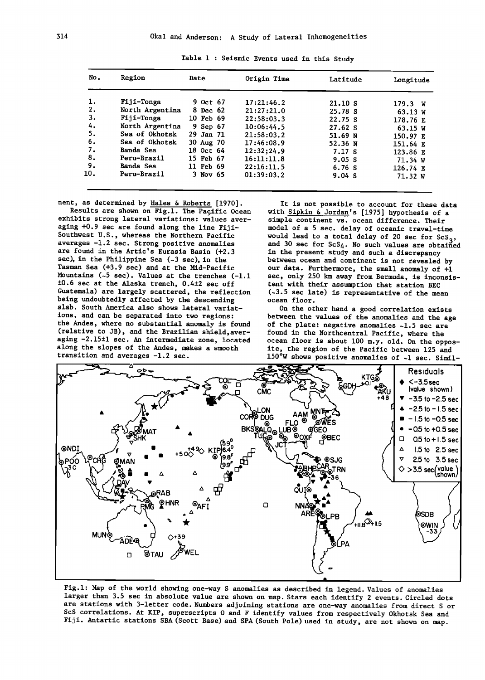| No. | Region          | Date      | Origin Time | Latitude | Longitude         |
|-----|-----------------|-----------|-------------|----------|-------------------|
| ı.  | Fiji-Tonga      | 9 Oct 67  | 17:21:46.2  | 21.10S   |                   |
| 2.  | North Argentina | 8 Dec 62  | 21:27:21.0  | 25.78S   | 179.3 W<br>63.13W |
| 3.  | Fiji-Tonga      | 10 Feb 69 | 22:58:03.3  | 22.75S   | 178.76 E          |
| 4.  | North Argentina | 9 Sep 67  | 10:06:44.5  | 27.62S   | 63.15 W           |
| 5.  | Sea of Okhotsk  | 29 Jan 71 | 21:58:03.2  | 51.69 N  | 150.97 E          |
| 6.  | Sea of Okhotsk  | 30 Aug 70 | 17:46:08.9  | 52.36 N  | 151.64 E          |
| 7.  | Banda Sea       | 18 Oct 64 | 12:32:24.9  | 7.17S    | 123.86 E          |
| 8.  | Peru-Brazil     | 15 Feb 67 | 16:11:11.8  | 9.05 S   | 71.34 W           |
| 9.  | Banda Sea       | 11 Feb 69 | 22:16:11.5  | 6.76S    | 126.74 E          |
| 10. | Peru-Brazil     | 3 Nov 65  | 01:39:03.2  | 9.04S    | 71.32 W           |

**Table 1 : Seismic Events used in this Study** 

**nent, as determined by Hales & Roberts [1970].**  Results are shown on Fig.1. The Pacific Ocean **exhibits strong lateral variations: values averaging +0.9 sec are found along the line Fiji-Southwest U.S., whereas the Northern Pacific averages -1.2 sec. Strong positive anomalies are found in the Artic's Eurasia Basin (+2.3 sec), in the Philippine Sea (~3 sec), in the Tasman Sea (+3.9 sec) and at the Mid-Pacific Mountains (~5 sec). Values at the trenches (-1.1**   $±0.6$  sec at the Alaska trench, 0.4 $±2$  sec off **Guatemala) are largely scattered, the reflection being undoubtedly affected by the descending slab. South America also shows lateral variations, and can be separated into two regions: the Andes, where no substantial anomaly is found (relative to JB), and the Brazilian shield,aver**aging -2.15<sup>±</sup>1 sec. An intermediate zone, located **along the slopes of the Andes, makes a smooth** 

**transition and averages -1.2 sec.** 

**It is not possible to account for these data with Sipkin & Jordan's [1975] hypothesis of a simple continent vs. ocean difference. Their model of a 5 sec. delay of oceanic travel-time**  would lead to a total delay of 20 sec for ScS<sub>3</sub>, and 30 sec for ScS<sub>4</sub>. No such values are obtained **in the present study and such a discrepancy between ocean and continent is not revealed by our data. Furthermore, the small anomaly of +1 sec, only 250 km away from Bermuda, is inconsistent with their assumption that station BEC (~3.5 sec late) is representative of the mean ocean floor.** 

**On the other hand a good correlation exists between the values of the anomalies and the age of the plate: negative anomalies ~1.5 sec are found in the Northcentral Pacific, where the ocean floor is about 100 m.y. old. On the opposite, the region of the Pacific between 125 and 150øW shows positive anomalies of ~1 sec. Simil-**



**Fig.l: Map of the world showing one-way S anomalies as described in legend. Values of anomalies larger than 3.5 sec in absolute value are shown on map. Stars each identify 2 events. Circled dots are stations with 3-letter code. Numbers adjoining stations are one-way anomalies from direct S or ScS correlations. At KIP, superscripts O and F identify values from respectively Okhotsk Sea and Fiji. Antartic stations SBA (Scott Base) and SPA (South Pole) used in study, are not shown on map.**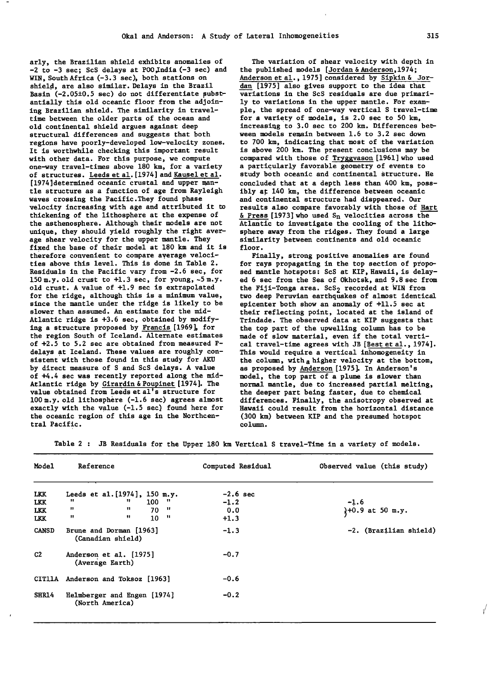-2 to -3 sec; ScS delays at POO<sub>ri</sub>dia (-3 sec) and WIN, South Africa (-3.3 sec), both stations on shield, are also similar. Delays in the Brazil dan [1975] also gives support to the idea that<br>**Basin (-2.05±0.5 sec) do not differentiate subst-** variations in the ScS residuals are due primari-Basin (-2.05±0.5 sec) do not differentiate pubst-<br>antially this old oceanic floor from the adjoin-<br>y to variations in the upper mantle. For examantially this old oceanic floor from the adjoin-<br>ing Brazilian shield. The similarity in traveling Brazilian shield. The similarity in travel-<br>
time between the older parts of the ocean and for a variety of models, is 2.0 sec to 50 km, old continental shield argues against deep **increasing to 3.0 sec to 200 km. Differences** be<br> **structural differences and suggests that both ween models remain between 1.6 to 3.2 sec down structural differences and suggests that both ween models remain between 1.6 to 3.2 sec down**  regions have poorly-developed low-velocity zones. **It is worthwhile checking this important result with other data. For this purpose, we compute one-way travel-times above 180 km, for a variety of structures. Leedsetal.[1974] and Kauseletal.**  [1974]determined oceanic crustal and upper man**tle structure as a function of age from Rayleigh waves crossing the Pacific.They found phase velocity increasing with age and attributed it to** results also compare favorably with those of <u>Hart</u> thickening of the lithosphere at the expense of  $\&$  Press [1973] who used S<sub>n</sub> velocities across the thickening of the lithosphere at the expense of  $\frac{\& Press [1973]$  who used S<sub>n</sub> velocities across the the asthenosphere. Although their models are not  $\frac{\& Parts [1973]$  who used S<sub>n</sub> velocities across the unique, they should yield roughly the right aver-<br>age shear velocity for the upper mantle. They fixed the base of their model at 180 km and it is **therefore convenient to compare ayerage velocities above this level. This is done in Table 2. Residuals in the Pacific vary from -2.6 sec, for 150 m.y. old crust to +1.3 sec, for young, ~5 m.y. old crust. A value of +1.9 sec is extrapolated for the ridge, although this is a minimum value, since the mantle under the ridge is likely to be slower than assumed. An estimate for the mid-Atlantic ridge is +3.6 sec, obtained by modifying a structure proposed by Francis [1969], for the region South of Iceland. Alternate estimates of +2.5 to 5.2 sec are obtained from measured P**delays at Iceland. These values are roughly con**sistent with those found in this study for AKU by direct measure of S and ScS delays. A value of +4.4 sec was recently reported along the mid-Atlantic ridge by Girardin & Poupinet [1974]. The value obtained from Leeds et al's structure for 100 m.y. old lithosphere (-1.6 sec) agrees almost exactly with the value (-1.5 sec) found here for the oceanic region of this age in the Northcentral Pacific.** 

arly, the Brazilian shield exhibits anomalies of The variation of shear velocity with depth in  $-2$  to  $-3$  sec; ScS delays at POO,India (-3 sec) and the published models [Jordan & Anderson, 1974; Anderson et al., 1975] considered by Sipkin & Jor-<br>dan [1975] also gives support to the idea that for a variety of models, is 2.0 sec to 50 km,<br>increasing to 3.0 sec to 200 km, Differences bet**is above 200 km. The present conclusions may be compared with those of Tryggvason [1961] who used a partigularly favorable geometry of events to study both oceanic and continental structure. He concluded that at a depth less than 400 km, poss**ibly at 140 km, the difference between oceanic **and continental structure had disppeared. Our**  Atlantic to investigate the cooling of the litho-<br>sphere away from the ridges. They found a large similarity between continents and old oceanic floor.

> **Finally, strong positive anomalies are found for rays propagating in the top section of proposed mantle hotspots: ScS at KIP, Hawaii, is delayed 6 sec from the Sea of Okhotsk, and 9.8 sec from**  the Fiji-Tonga area. ScS<sub>2</sub> recorded at WIN from **two deep Peruvian earthquakes of almost identical epicenter both show an anomaly of +11.5 sec at their reflecting point, located at the island of Trindade. The observed data at KIP suggests that the top part of the upwelling column has to be made of slow material, even if the total vertical travel-time agrees with JB [Best et el., 1974]. This would require a vertical inhomogeneity in the column, with a higher velocity at the bottom,**  as proposed by **Anderson** [1975]. In Anderson's **model, the top part of a plume is slower than normal mantle, due to increased partial melting, the deeper part being faster, due to chemical differences. Finally, the anisotropy observed at Hawaii could result from the horizontal distance (300 km) between KIP and the presumed hotspot column.**

**Table 2 : JB Residuals for the Upper 180 km Vertical S travel-Time in a variety of models.** 

| <b>Model</b>                                         | Reference                                                                                                   | Computed Residual                             | Observed value (this study)  |
|------------------------------------------------------|-------------------------------------------------------------------------------------------------------------|-----------------------------------------------|------------------------------|
| <b>LKK</b><br><b>LKK</b><br><b>LKK</b><br><b>LKK</b> | Leeds et al. [1974], 150 m.y.<br>"<br>11<br>$100$ "<br>w<br>$70$ "<br>"<br>$\mathbf{H}$<br>11<br>$10^{-11}$ | $-2.6 \text{ sec}$<br>$-1.2$<br>0.0<br>$+1.3$ | $-1.6$<br>$4+0.9$ at 50 m.y. |
| <b>CANSD</b>                                         | Brune and Dorman [1963]<br>(Canadian shield)                                                                | $-1.3$                                        | -2. (Brazilian shield)       |
| C <sub>2</sub>                                       | Anderson et al. [1975]<br>(Average Earth)                                                                   | $-0.7$                                        |                              |
|                                                      | CIT11A Anderson and Toksoz [1963]                                                                           | $-0.6$                                        |                              |
| <b>SHR14</b>                                         | Helmberger and Engen [1974]<br>(North America)                                                              | $-0.2$                                        |                              |

V.